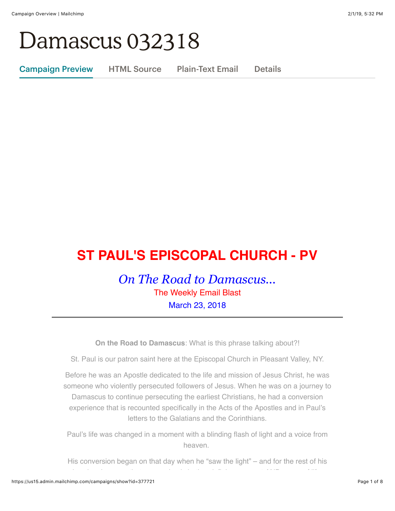# Damascus 032318

Campaign Preview HTML Source Plain-Text Email Details

# **ST PAUL'S EPISCOPAL CHURCH - PV**

*On The Road to Damascus...* The Weekly Email Blast March 23, 2018

**On the Road to Damascus**: What is this phrase talking about?!

St. Paul is our patron saint here at the Episcopal Church in Pleasant Valley, NY.

Before he was an Apostle dedicated to the life and mission of Jesus Christ, he was someone who violently persecuted followers of Jesus. When he was on a journey to Damascus to continue persecuting the earliest Christians, he had a conversion experience that is recounted specifically in the Acts of the Apostles and in Paul's letters to the Galatians and the Corinthians.

Paul's life was changed in a moment with a blinding flash of light and a voice from heaven.

His conversion began on that day when he "saw the light" – and for the rest of his days he shows us that conversion is both a defining moment AND a way of life.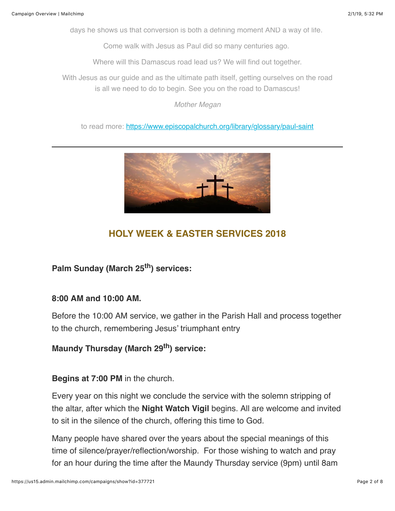days he shows us that conversion is both a defining moment AND a way of life.

Come walk with Jesus as Paul did so many centuries ago.

Where will this Damascus road lead us? We will find out together.

With Jesus as our guide and as the ultimate path itself, getting ourselves on the road is all we need to do to begin. See you on the road to Damascus!

*Mother Megan*

to read more: <https://www.episcopalchurch.org/library/glossary/paul-saint>



# **HOLY WEEK & EASTER SERVICES 2018**

**Palm Sunday (March 25th) services:**

### **8:00 AM and 10:00 AM.**

Before the 10:00 AM service, we gather in the Parish Hall and process together to the church, remembering Jesus' triumphant entry

### **Maundy Thursday (March 29th) service:**

#### **Begins at 7:00 PM** in the church.

Every year on this night we conclude the service with the solemn stripping of the altar, after which the **Night Watch Vigil** begins. All are welcome and invited to sit in the silence of the church, offering this time to God.

Many people have shared over the years about the special meanings of this time of silence/prayer/reflection/worship. For those wishing to watch and pray for an hour during the time after the Maundy Thursday service (9pm) until 8am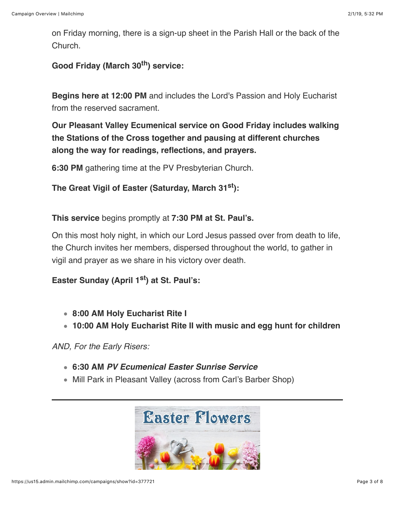on Friday morning, there is a sign-up sheet in the Parish Hall or the back of the Church.

**Good Friday (March 30th) service:**

**Begins here at 12:00 PM** and includes the Lord's Passion and Holy Eucharist from the reserved sacrament.

**Our Pleasant Valley Ecumenical service on Good Friday includes walking the Stations of the Cross together and pausing at different churches along the way for readings, reflections, and prayers.** 

**6:30 PM** gathering time at the PV Presbyterian Church.

**The Great Vigil of Easter (Saturday, March 31st):**

**This service** begins promptly at **7:30 PM at St. Paul's.**

On this most holy night, in which our Lord Jesus passed over from death to life, the Church invites her members, dispersed throughout the world, to gather in vigil and prayer as we share in his victory over death.

**Easter Sunday (April 1st) at St. Paul's:**

- **8:00 AM Holy Eucharist Rite I**
- **10:00 AM Holy Eucharist Rite II with music and egg hunt for children**

*AND, For the Early Risers:*

- **6:30 AM** *PV Ecumenical Easter Sunrise Service*
- Mill Park in Pleasant Valley (across from Carl's Barber Shop)

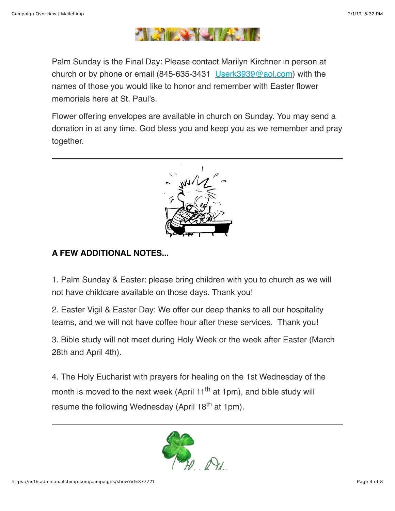

Palm Sunday is the Final Day: Please contact Marilyn Kirchner in person at church or by phone or email (845-635-3431 [Userk3939@aol.com](mailto:Userk3939@aol.com)) with the names of those you would like to honor and remember with Easter flower memorials here at St. Paul's.

Flower offering envelopes are available in church on Sunday. You may send a donation in at any time. God bless you and keep you as we remember and pray together.



# **A FEW ADDITIONAL NOTES...**

1. Palm Sunday & Easter: please bring children with you to church as we will not have childcare available on those days. Thank you!

2. Easter Vigil & Easter Day: We offer our deep thanks to all our hospitality teams, and we will not have coffee hour after these services. Thank you!

3. Bible study will not meet during Holy Week or the week after Easter (March 28th and April 4th).

4. The Holy Eucharist with prayers for healing on the 1st Wednesday of the month is moved to the next week (April 11<sup>th</sup> at 1pm), and bible study will resume the following Wednesday (April 18<sup>th</sup> at 1pm).

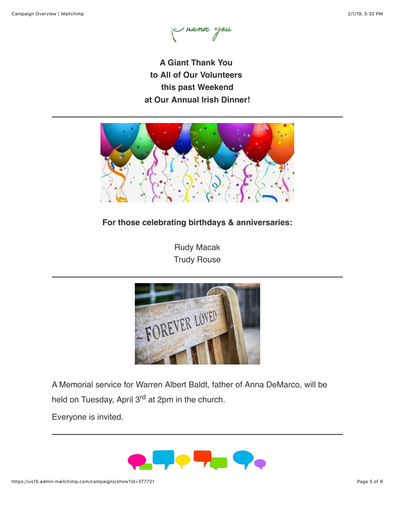I nann you

**A Giant Thank You to All of Our Volunteers this past Weekend at Our Annual Irish Dinner!**



# **For those celebrating birthdays & anniversaries:**

Rudy Macak Trudy Rouse



A Memorial service for Warren Albert Baldt, father of Anna DeMarco, will be held on Tuesday, April 3<sup>rd</sup> at 2pm in the church.

Everyone is invited.

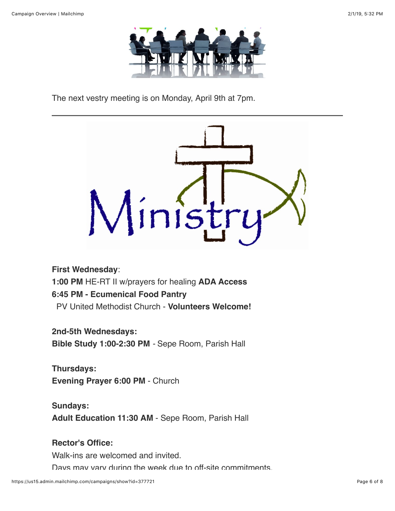

The next vestry meeting is on Monday, April 9th at 7pm.



**First Wednesday**: **1:00 PM** HE-RT II w/prayers for healing **ADA Access 6:45 PM - Ecumenical Food Pantry** PV United Methodist Church - **Volunteers Welcome!**

**2nd-5th Wednesdays:**

**Bible Study 1:00-2:30 PM** *-* Sepe Room, Parish Hall

**Thursdays: Evening Prayer 6:00 PM** - Church

**Sundays: Adult Education 11:30 AM** - Sepe Room, Parish Hall

# **Rector's Office:**

Walk-ins are welcomed and invited.

Days may vary during the week due to off-site commitments.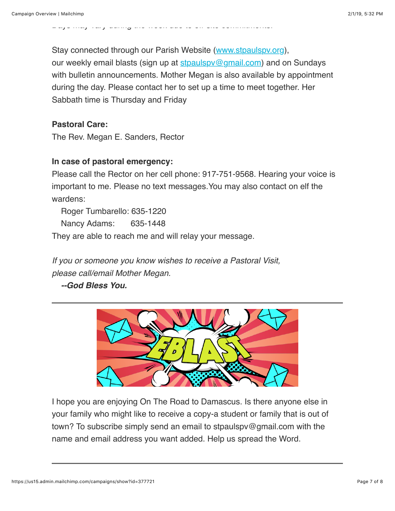Stay connected through our Parish Website ([www.stpaulspv.org\)](http://www.stpaulspv.org/), our weekly email blasts (sign up at stpaulspy@gmail.com) and on Sundays with bulletin announcements. Mother Megan is also available by appointment during the day. Please contact her to set up a time to meet together. Her Sabbath time is Thursday and Friday

### **Pastoral Care:**

The Rev. Megan E. Sanders, Rector

#### **In case of pastoral emergency:**

Please call the Rector on her cell phone: 917-751-9568. Hearing your voice is important to me. Please no text messages.You may also contact on elf the wardens:

Roger Tumbarello: 635-1220 Nancy Adams: 635-1448

They are able to reach me and will relay your message.

Days may vary during the week due to off-site commitments.

*If you or someone you know wishes to receive a Pastoral Visit, please call/email Mother Megan.*

 *--God Bless You.*



I hope you are enjoying On The Road to Damascus. Is there anyone else in your family who might like to receive a copy-a student or family that is out of town? To subscribe simply send an email to stpaulspv@gmail.com with the name and email address you want added. Help us spread the Word.